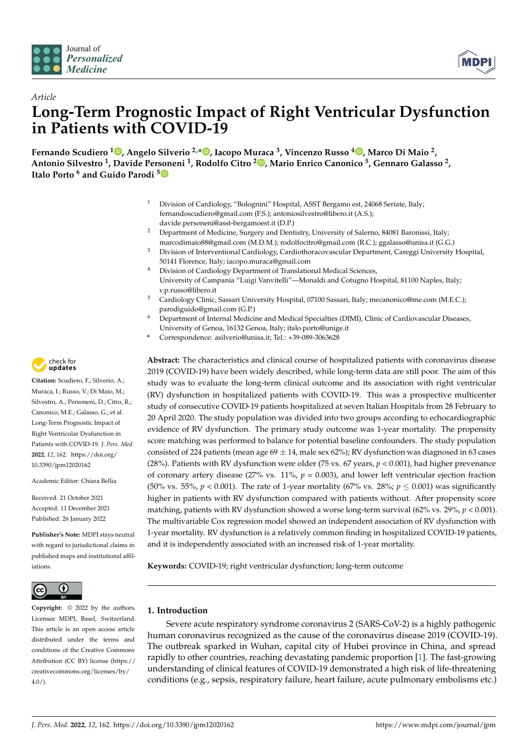

*Article*



# **Long-Term Prognostic Impact of Right Ventricular Dysfunction in Patients with COVID-19**

**Fernando Scudiero <sup>1</sup> [,](https://orcid.org/0000-0001-5136-4881) Angelo Silverio 2,\* [,](https://orcid.org/0000-0001-9749-8092) Iacopo Muraca <sup>3</sup> , Vincenzo Russo <sup>4</sup> [,](https://orcid.org/0000-0002-9227-0360) Marco Di Maio <sup>2</sup> , Antonio Silvestro <sup>1</sup> , Davide Personeni <sup>1</sup> , Rodolfo Citro <sup>2</sup> [,](https://orcid.org/0000-0002-7796-6298) Mario Enrico Canonico <sup>5</sup> , Gennaro Galasso <sup>2</sup> , Italo Porto <sup>6</sup> and Guido Parodi [5](https://orcid.org/0000-0002-9718-9107)**

- Division of Cardiology, "Bolognini" Hospital, ASST Bergamo est, 24068 Seriate, Italy; fernandoscudiero@gmail.com (F.S.); antoniosilvestro@libero.it (A.S.); davide.personeni@asst-bergamoest.it (D.P.)
- <sup>2</sup> Department of Medicine, Surgery and Dentistry, University of Salerno, 84081 Baronissi, Italy; marcodimaio88@gmail.com (M.D.M.); rodolfocitro@gmail.com (R.C.); ggalasso@unisa.it (G.G.)
- <sup>3</sup> Division of Interventional Cardiology, Cardiothoracovascular Department, Careggi University Hospital, 50141 Florence, Italy; iacopo.muraca@gmail.com
- <sup>4</sup> Division of Cardiology Department of Translational Medical Sciences, University of Campania "Luigi Vanvitelli"—Monaldi and Cotugno Hospital, 81100 Naples, Italy; v.p.russo@libero.it
- <sup>5</sup> Cardiology Clinic, Sassari University Hospital, 07100 Sassari, Italy; mecanonico@me.com (M.E.C.); parodiguido@gmail.com (G.P.)
- <sup>6</sup> Department of Internal Medicine and Medical Specialties (DIMI), Clinic of Cardiovascular Diseases, University of Genoa, 16132 Genoa, Italy; italo.porto@unige.it
- **\*** Correspondence: asilverio@unisa.it; Tel.: +39-089-3063628

**Abstract:** The characteristics and clinical course of hospitalized patients with coronavirus disease 2019 (COVID-19) have been widely described, while long-term data are still poor. The aim of this study was to evaluate the long-term clinical outcome and its association with right ventricular (RV) dysfunction in hospitalized patients with COVID-19. This was a prospective multicenter study of consecutive COVID-19 patients hospitalized at seven Italian Hospitals from 28 February to 20 April 2020. The study population was divided into two groups according to echocardiographic evidence of RV dysfunction. The primary study outcome was 1-year mortality. The propensity score matching was performed to balance for potential baseline confounders. The study population consisted of 224 patients (mean age  $69 \pm 14$ , male sex 62%); RV dysfunction was diagnosed in 63 cases (28%). Patients with RV dysfunction were older (75 vs. 67 years,  $p < 0.001$ ), had higher prevenance of coronary artery disease (27% vs.  $11\%$ ,  $p = 0.003$ ), and lower left ventricular ejection fraction (50% vs. 55%,  $p < 0.001$ ). The rate of 1-year mortality (67% vs. 28%;  $p \le 0.001$ ) was significantly higher in patients with RV dysfunction compared with patients without. After propensity score matching, patients with RV dysfunction showed a worse long-term survival (62% vs. 29%, *p* < 0.001). The multivariable Cox regression model showed an independent association of RV dysfunction with 1-year mortality. RV dysfunction is a relatively common finding in hospitalized COVID-19 patients, and it is independently associated with an increased risk of 1-year mortality.

**Keywords:** COVID-19; right ventricular dysfunction; long-term outcome

# **1. Introduction**

Severe acute respiratory syndrome coronavirus 2 (SARS-CoV-2) is a highly pathogenic human coronavirus recognized as the cause of the coronavirus disease 2019 (COVID-19). The outbreak sparked in Wuhan, capital city of Hubei province in China, and spread rapidly to other countries, reaching devastating pandemic proportion [\[1\]](#page-8-0). The fast-growing understanding of clinical features of COVID-19 demonstrated a high risk of life-threatening conditions (e.g., sepsis, respiratory failure, heart failure, acute pulmonary embolisms etc.)



**Citation:** Scudiero, F.; Silverio, A.; Muraca, I.; Russo, V.; Di Maio, M.; Silvestro, A.; Personeni, D.; Citro, R.; Canonico, M.E.; Galasso, G.; et al. Long-Term Prognostic Impact of Right Ventricular Dysfunction in Patients with COVID-19. *J. Pers. Med.* **2022**, *12*, 162. [https://doi.org/](https://doi.org/10.3390/jpm12020162) [10.3390/jpm12020162](https://doi.org/10.3390/jpm12020162)

Academic Editor: Chiara Bellia

Received: 21 October 2021 Accepted: 11 December 2021 Published: 26 January 2022

**Publisher's Note:** MDPI stays neutral with regard to jurisdictional claims in published maps and institutional affiliations.



**Copyright:** © 2022 by the authors. Licensee MDPI, Basel, Switzerland. This article is an open access article distributed under the terms and conditions of the Creative Commons Attribution (CC BY) license [\(https://](https://creativecommons.org/licenses/by/4.0/) [creativecommons.org/licenses/by/](https://creativecommons.org/licenses/by/4.0/)  $4.0/$ ).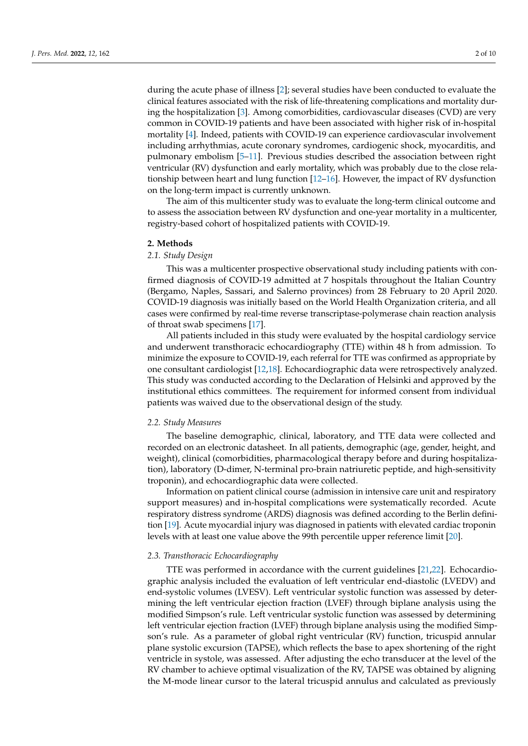during the acute phase of illness [\[2\]](#page-8-1); several studies have been conducted to evaluate the clinical features associated with the risk of life-threatening complications and mortality during the hospitalization [\[3\]](#page-8-2). Among comorbidities, cardiovascular diseases (CVD) are very common in COVID-19 patients and have been associated with higher risk of in-hospital mortality [\[4\]](#page-8-3). Indeed, patients with COVID-19 can experience cardiovascular involvement including arrhythmias, acute coronary syndromes, cardiogenic shock, myocarditis, and pulmonary embolism [\[5](#page-8-4)[–11\]](#page-8-5). Previous studies described the association between right ventricular (RV) dysfunction and early mortality, which was probably due to the close relationship between heart and lung function [\[12–](#page-8-6)[16\]](#page-8-7). However, the impact of RV dysfunction on the long-term impact is currently unknown.

The aim of this multicenter study was to evaluate the long-term clinical outcome and to assess the association between RV dysfunction and one-year mortality in a multicenter, registry-based cohort of hospitalized patients with COVID-19.

#### **2. Methods**

## *2.1. Study Design*

This was a multicenter prospective observational study including patients with confirmed diagnosis of COVID-19 admitted at 7 hospitals throughout the Italian Country (Bergamo, Naples, Sassari, and Salerno provinces) from 28 February to 20 April 2020. COVID-19 diagnosis was initially based on the World Health Organization criteria, and all cases were confirmed by real-time reverse transcriptase-polymerase chain reaction analysis of throat swab specimens [\[17\]](#page-8-8).

All patients included in this study were evaluated by the hospital cardiology service and underwent transthoracic echocardiography (TTE) within 48 h from admission. To minimize the exposure to COVID-19, each referral for TTE was confirmed as appropriate by one consultant cardiologist [\[12,](#page-8-6)[18\]](#page-8-9). Echocardiographic data were retrospectively analyzed. This study was conducted according to the Declaration of Helsinki and approved by the institutional ethics committees. The requirement for informed consent from individual patients was waived due to the observational design of the study.

#### *2.2. Study Measures*

The baseline demographic, clinical, laboratory, and TTE data were collected and recorded on an electronic datasheet. In all patients, demographic (age, gender, height, and weight), clinical (comorbidities, pharmacological therapy before and during hospitalization), laboratory (D-dimer, N-terminal pro-brain natriuretic peptide, and high-sensitivity troponin), and echocardiographic data were collected.

Information on patient clinical course (admission in intensive care unit and respiratory support measures) and in-hospital complications were systematically recorded. Acute respiratory distress syndrome (ARDS) diagnosis was defined according to the Berlin definition [\[19\]](#page-8-10). Acute myocardial injury was diagnosed in patients with elevated cardiac troponin levels with at least one value above the 99th percentile upper reference limit [\[20\]](#page-9-0).

### *2.3. Transthoracic Echocardiography*

TTE was performed in accordance with the current guidelines [\[21,](#page-9-1)[22\]](#page-9-2). Echocardiographic analysis included the evaluation of left ventricular end-diastolic (LVEDV) and end-systolic volumes (LVESV). Left ventricular systolic function was assessed by determining the left ventricular ejection fraction (LVEF) through biplane analysis using the modified Simpson's rule. Left ventricular systolic function was assessed by determining left ventricular ejection fraction (LVEF) through biplane analysis using the modified Simpson's rule. As a parameter of global right ventricular (RV) function, tricuspid annular plane systolic excursion (TAPSE), which reflects the base to apex shortening of the right ventricle in systole, was assessed. After adjusting the echo transducer at the level of the RV chamber to achieve optimal visualization of the RV, TAPSE was obtained by aligning the M-mode linear cursor to the lateral tricuspid annulus and calculated as previously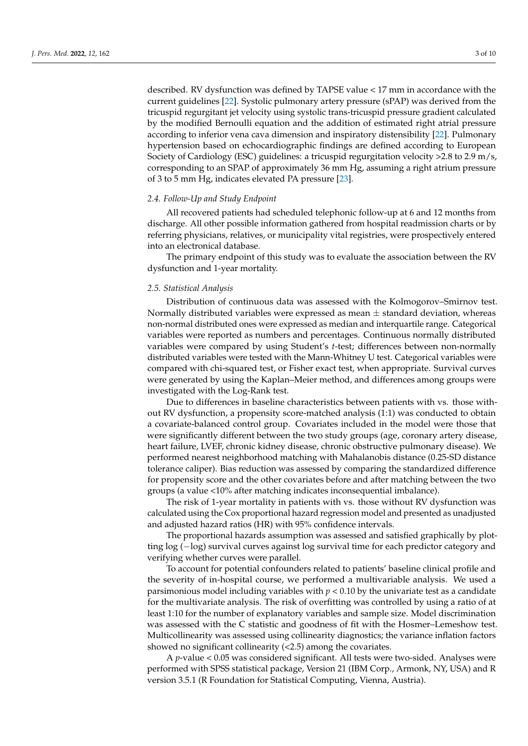described. RV dysfunction was defined by TAPSE value < 17 mm in accordance with the current guidelines [\[22\]](#page-9-2). Systolic pulmonary artery pressure (sPAP) was derived from the tricuspid regurgitant jet velocity using systolic trans-tricuspid pressure gradient calculated by the modified Bernoulli equation and the addition of estimated right atrial pressure according to inferior vena cava dimension and inspiratory distensibility [\[22\]](#page-9-2). Pulmonary hypertension based on echocardiographic findings are defined according to European Society of Cardiology (ESC) guidelines: a tricuspid regurgitation velocity >2.8 to 2.9 m/s, corresponding to an SPAP of approximately 36 mm Hg, assuming a right atrium pressure of 3 to 5 mm Hg, indicates elevated PA pressure [\[23\]](#page-9-3).

## *2.4. Follow-Up and Study Endpoint*

All recovered patients had scheduled telephonic follow-up at 6 and 12 months from discharge. All other possible information gathered from hospital readmission charts or by referring physicians, relatives, or municipality vital registries, were prospectively entered into an electronical database.

The primary endpoint of this study was to evaluate the association between the RV dysfunction and 1-year mortality.

## *2.5. Statistical Analysis*

Distribution of continuous data was assessed with the Kolmogorov–Smirnov test. Normally distributed variables were expressed as mean  $\pm$  standard deviation, whereas non-normal distributed ones were expressed as median and interquartile range. Categorical variables were reported as numbers and percentages. Continuous normally distributed variables were compared by using Student's *t*-test; differences between non-normally distributed variables were tested with the Mann-Whitney U test. Categorical variables were compared with chi-squared test, or Fisher exact test, when appropriate. Survival curves were generated by using the Kaplan–Meier method, and differences among groups were investigated with the Log-Rank test.

Due to differences in baseline characteristics between patients with vs. those without RV dysfunction, a propensity score-matched analysis (1:1) was conducted to obtain a covariate-balanced control group. Covariates included in the model were those that were significantly different between the two study groups (age, coronary artery disease, heart failure, LVEF, chronic kidney disease, chronic obstructive pulmonary disease). We performed nearest neighborhood matching with Mahalanobis distance (0.25-SD distance tolerance caliper). Bias reduction was assessed by comparing the standardized difference for propensity score and the other covariates before and after matching between the two groups (a value <10% after matching indicates inconsequential imbalance).

The risk of 1-year mortality in patients with vs. those without RV dysfunction was calculated using the Cox proportional hazard regression model and presented as unadjusted and adjusted hazard ratios (HR) with 95% confidence intervals.

The proportional hazards assumption was assessed and satisfied graphically by plotting log (−log) survival curves against log survival time for each predictor category and verifying whether curves were parallel.

To account for potential confounders related to patients' baseline clinical profile and the severity of in-hospital course, we performed a multivariable analysis. We used a parsimonious model including variables with  $p < 0.10$  by the univariate test as a candidate for the multivariate analysis. The risk of overfitting was controlled by using a ratio of at least 1:10 for the number of explanatory variables and sample size. Model discrimination was assessed with the C statistic and goodness of fit with the Hosmer–Lemeshow test. Multicollinearity was assessed using collinearity diagnostics; the variance inflation factors showed no significant collinearity (<2.5) among the covariates.

A *p*-value < 0.05 was considered significant. All tests were two-sided. Analyses were performed with SPSS statistical package, Version 21 (IBM Corp., Armonk, NY, USA) and R version 3.5.1 (R Foundation for Statistical Computing, Vienna, Austria).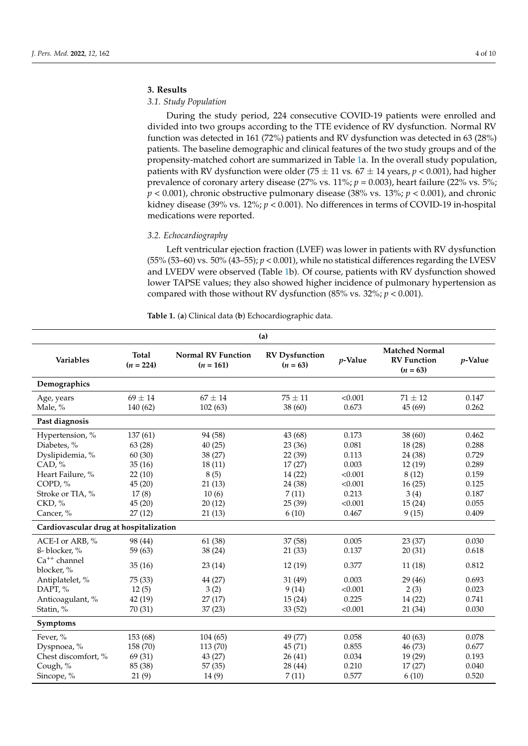# **3. Results**

## *3.1. Study Population*

During the study period, 224 consecutive COVID-19 patients were enrolled and divided into two groups according to the TTE evidence of RV dysfunction. Normal RV function was detected in 161 (72%) patients and RV dysfunction was detected in 63 (28%) patients. The baseline demographic and clinical features of the two study groups and of the propensity-matched cohort are summarized in Table [1a](#page-3-0). In the overall study population, patients with RV dysfunction were older (75  $\pm$  11 vs. 67  $\pm$  14 years, *p* < 0.001), had higher prevalence of coronary artery disease (27% vs. 11%; *p* = 0.003), heart failure (22% vs. 5%;  $p < 0.001$ ), chronic obstructive pulmonary disease (38% vs. 13%;  $p < 0.001$ ), and chronic kidney disease (39% vs. 12%; *p* < 0.001). No differences in terms of COVID-19 in-hospital medications were reported.

## *3.2. Echocardiography*

Left ventricular ejection fraction (LVEF) was lower in patients with RV dysfunction  $(55\%~(53–60)$  vs.  $50\%~(43–55)$ ;  $p < 0.001$ ), while no statistical differences regarding the LVESV and LVEDV were observed (Table [1b](#page-3-0)). Of course, patients with RV dysfunction showed lower TAPSE values; they also showed higher incidence of pulmonary hypertension as compared with those without RV dysfunction (85% vs. 32%;  $p < 0.001$ ).

| (a)                                      |           |                                          |                                     |         |                                                           |            |
|------------------------------------------|-----------|------------------------------------------|-------------------------------------|---------|-----------------------------------------------------------|------------|
| <b>Total</b><br>Variables<br>$(n = 224)$ |           | <b>Normal RV Function</b><br>$(n = 161)$ | <b>RV</b> Dysfunction<br>$(n = 63)$ | p-Value | <b>Matched Normal</b><br><b>RV</b> Function<br>$(n = 63)$ | $p$ -Value |
| Demographics                             |           |                                          |                                     |         |                                                           |            |
| Age, years                               | $69\pm14$ | $67 \pm 14$                              | $75\pm11$                           | < 0.001 | $71 \pm 12$                                               | 0.147      |
| Male, %                                  | 140 (62)  |                                          | 102(63)<br>38 (60)                  |         | 45 (69)                                                   | 0.262      |
| Past diagnosis                           |           |                                          |                                     |         |                                                           |            |
| Hypertension, %                          | 137(61)   | 94 (58)                                  | 43 (68)                             | 0.173   | 38 (60)                                                   | 0.462      |
| Diabetes, %                              | 63(28)    | 40(25)                                   | 23(36)                              | 0.081   | 18 (28)                                                   | 0.288      |
| Dyslipidemia, %                          | 60(30)    | 38 (27)                                  | 22(39)                              | 0.113   | 24 (38)                                                   | 0.729      |
| CAD, %                                   | 35(16)    | 18(11)                                   | 17(27)                              | 0.003   | 12(19)                                                    | 0.289      |
| Heart Failure, %                         | 22(10)    | 8(5)                                     | 14(22)                              | < 0.001 | 8(12)                                                     | 0.159      |
| COPD, %                                  | 45(20)    | 21(13)                                   | 24 (38)                             | < 0.001 | 16(25)                                                    | 0.125      |
| Stroke or TIA, %                         | 17(8)     | 10(6)                                    | 7(11)                               | 0.213   | 3(4)                                                      | 0.187      |
| CKD, %                                   | 45(20)    | 20(12)                                   | 25(39)                              | < 0.001 | 15(24)                                                    | 0.055      |
| Cancer, %                                | 27(12)    | 21(13)                                   | 6(10)                               | 0.467   | 9(15)                                                     | 0.409      |
| Cardiovascular drug at hospitalization   |           |                                          |                                     |         |                                                           |            |
| ACE-I or ARB, %                          | 98 (44)   | 61 (38)                                  | 37 (58)                             | 0.005   | 23 (37)                                                   | 0.030      |
| ß-blocker, %                             | 59 (63)   | 38 (24)                                  | 21(33)                              | 0.137   | 20(31)                                                    | 0.618      |
| $Ca^{++}$ channel                        | 35(16)    | 23(14)                                   | 12(19)                              | 0.377   | 11(18)                                                    | 0.812      |
| blocker, %                               |           |                                          |                                     |         |                                                           |            |
| Antiplatelet, %                          | 75 (33)   | 44 (27)                                  | 31 (49)                             | 0.003   | 29 (46)                                                   | 0.693      |
| DAPT, %                                  | 12(5)     | 3(2)                                     | 9(14)                               | < 0.001 | 2(3)                                                      | 0.023      |
| Anticoagulant, %                         | 42 (19)   | 27(17)                                   | 15(24)                              | 0.225   | 14 (22)                                                   | 0.741      |
| Statin, %                                | 70 (31)   | 37(23)                                   | 33(52)                              | < 0.001 | 21 (34)                                                   | 0.030      |
| Symptoms                                 |           |                                          |                                     |         |                                                           |            |
| Fever, %                                 | 153 (68)  | 104(65)                                  | 49 (77)                             | 0.058   | 40(63)                                                    | 0.078      |
| Dyspnoea, %                              | 158 (70)  | 113 (70)                                 | 45(71)                              | 0.855   | 46 (73)                                                   | 0.677      |
| Chest discomfort, %                      | 69 (31)   | 43 (27)                                  | 26(41)                              | 0.034   | 19 (29)                                                   | 0.193      |
| Cough, %                                 | 85 (38)   | 57 (35)                                  | 28 (44)                             | 0.210   | 17(27)                                                    | 0.040      |
| Sincope, %                               | 21(9)     | 14 (9)                                   | 7(11)                               | 0.577   | 6(10)                                                     | 0.520      |

<span id="page-3-0"></span>**Table 1.** (**a**) Clinical data (**b**) Echocardiographic data.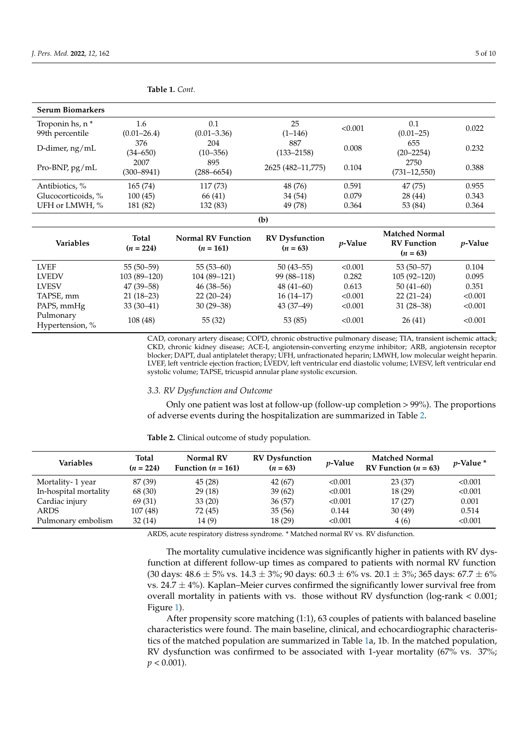| <b>Serum Biomarkers</b> |                 |                           |                       |         |                                  |                 |  |
|-------------------------|-----------------|---------------------------|-----------------------|---------|----------------------------------|-----------------|--|
| Troponin hs, n *        | 1.6             | 0.1                       | 25                    | < 0.001 | 0.1                              | 0.022           |  |
| 99th percentile         | $(0.01 - 26.4)$ | $(0.01 - 3.36)$           | $(1-146)$             |         | $(0.01 - 25)$                    |                 |  |
| D-dimer, ng/mL          | 376             | 204                       | 887                   | 0.008   | 655                              | 0.232           |  |
|                         | $(34 - 650)$    | $(10 - 356)$              | $(133 - 2158)$        |         | $(20 - 2254)$                    |                 |  |
| Pro-BNP, pg/mL          | 2007            | 895                       | 2625 (482-11,775)     | 0.104   | 2750                             | 0.388           |  |
|                         | $(300 - 8941)$  | $(288 - 6654)$            |                       |         | $(731 - 12, 550)$                |                 |  |
| Antibiotics, %          | 165(74)         | 117 (73)                  | 48 (76)               | 0.591   | 47 (75)                          | 0.955           |  |
| Glucocorticoids, %      | 100(45)         | 66 (41)                   | 34 (54)               | 0.079   | 28 (44)                          | 0.343           |  |
| UFH or LMWH, %          | 181 (82)        | 132 (83)                  | 49 (78)               | 0.364   | 53 (84)                          | 0.364           |  |
| (b)                     |                 |                           |                       |         |                                  |                 |  |
| <b>Variables</b>        | Total           | <b>Normal RV Function</b> | <b>RV</b> Dysfunction | p-Value | <b>Matched Normal</b>            | <i>p</i> -Value |  |
|                         | $(n = 224)$     | $(n = 161)$               | $(n = 63)$            |         | <b>RV</b> Function<br>$(n = 63)$ |                 |  |
|                         |                 |                           |                       |         |                                  |                 |  |
| <b>LVEF</b>             | $55(50-59)$     | $55(53-60)$               | $50(43 - 55)$         | < 0.001 | $53(50-57)$                      | 0.104           |  |
| <b>LVEDV</b>            | $103(89-120)$   | $104(89-121)$             | 99 (88-118)           | 0.282   | $105(92 - 120)$                  | 0.095           |  |
| <b>LVESV</b>            | $47(39 - 58)$   | $46(38 - 56)$             | $48(41-60)$           | 0.613   | $50(41-60)$                      | 0.351           |  |
| TAPSE, mm               | $21(18-23)$     | $22(20-24)$               | $16(14-17)$           | < 0.001 | $22(21-24)$                      | < 0.001         |  |
| PAPS, mmHg              | $33(30-41)$     | $30(29-38)$               | $43(37-49)$           | < 0.001 | $31(28-38)$                      | < 0.001         |  |

CAD, coronary artery disease; COPD, chronic obstructive pulmonary disease; TIA, transient ischemic attack; CKD, chronic kidney disease; ACE-I, angiotensin-converting enzyme inhibitor; ARB, angiotensin receptor blocker; DAPT, dual antiplatelet therapy; UFH, unfractionated heparin; LMWH, low molecular weight heparin. LVEF, left ventricle ejection fraction; LVEDV, left ventricular end diastolic volume; LVESV, left ventricular end systolic volume; TAPSE, tricuspid annular plane systolic excursion.

#### *3.3. RV Dysfunction and Outcome*

**Table 1.** *Cont.*

Only one patient was lost at follow-up (follow-up completion > 99%). The proportions of adverse events during the hospitalization are summarized in Table [2.](#page-4-0)

| <b>Variables</b>      | Total<br>$(n = 224)$ | Normal RV<br>Function $(n = 161)$ | <b>RV</b> Dysfunction<br>$(n = 63)$ | <i>p</i> -Value | <b>Matched Normal</b><br>RV Function ( $n = 63$ ) | $v$ -Value $*$ |
|-----------------------|----------------------|-----------------------------------|-------------------------------------|-----------------|---------------------------------------------------|----------------|
| Mortality-1 year      | 87 (39)              | 45 (28)                           | 42 (67)                             | < 0.001         | 23(37)                                            | < 0.001        |
| In-hospital mortality | 68 (30)              | 29(18)                            | 39(62)                              | < 0.001         | 18 (29)                                           | < 0.001        |
| Cardiac injury        | 69 (31)              | 33(20)                            | 36(57)                              | < 0.001         | 17(27)                                            | 0.001          |
| ARDS                  | 107(48)              | 72 (45)                           | 35(56)                              | 0.144           | 30(49)                                            | 0.514          |
| Pulmonary embolism    | 32(14)               | 14(9)                             | 18 (29)                             | < 0.001         | 4(6)                                              | < 0.001        |

<span id="page-4-0"></span>**Table 2.** Clinical outcome of study population.

ARDS, acute respiratory distress syndrome. \* Matched normal RV vs. RV disfunction.

The mortality cumulative incidence was significantly higher in patients with RV dysfunction at different follow-up times as compared to patients with normal RV function (30 days:  $48.6 \pm 5\%$  vs.  $14.3 \pm 3\%$ ; 90 days:  $60.3 \pm 6\%$  vs.  $20.1 \pm 3\%$ ; 365 days:  $67.7 \pm 6\%$ vs. 24.7  $\pm$  4%). Kaplan–Meier curves confirmed the significantly lower survival free from overall mortality in patients with vs. those without RV dysfunction (log-rank < 0.001; Figure [1\)](#page-5-0).

After propensity score matching (1:1), 63 couples of patients with balanced baseline characteristics were found. The main baseline, clinical, and echocardiographic characteristics of the matched population are summarized in Table [1a](#page-3-0), 1b. In the matched population, RV dysfunction was confirmed to be associated with 1-year mortality (67% vs. 37%;  $p < 0.001$ ).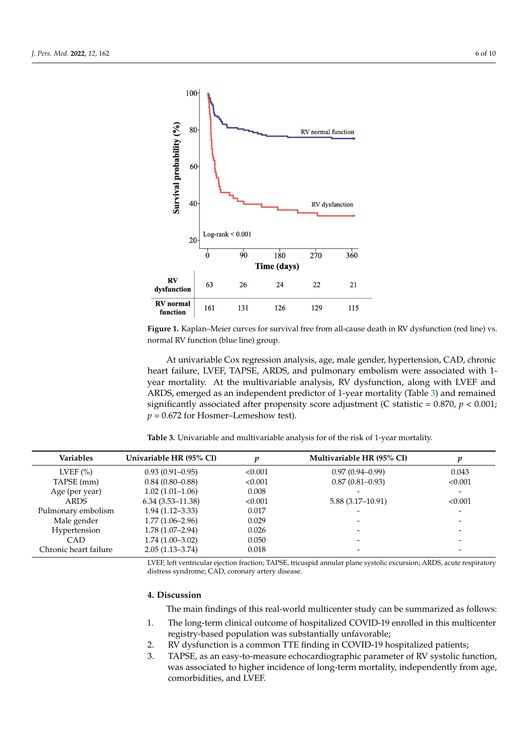<span id="page-5-0"></span>

normal RV function (blue line) group. **Figure 1.** Kaplan–Meier curves for survival free from all-cause death in RV dysfunction (red line) vs.

vs. normal RV function (blue line) group. heart failure, LVEF, TAPSE, ARDS, and pulmonary embolism were associated with 1year mortality. At the multivariable analysis, RV dysfunction, along with LVEF and ARDS, emerged as an independent predictor of 1-year mortality (Table [3\)](#page-5-1) and remained significantly associated after propensity score adjustment (C statistic =  $0.870$ ,  $p < 0.001$ ;  $p = 0.672$  for Hosmer–Lemeshow test). At univariable Cox regression analysis, age, male gender, hypertension, CAD, chronic

<span id="page-5-1"></span>At univariable Cox regression analysis, age, male gender, hypertension, CAD, **Table 3.** Univariable and multivariable analysis for of the risk of 1-year mortality.

| <b>Variables</b>      | Univariable HR (95% CI) | v       | Multivariable HR (95% CI) |         |
|-----------------------|-------------------------|---------|---------------------------|---------|
| LVEF $(\% )$          | $0.93(0.91-0.95)$       | < 0.001 | $0.97(0.94 - 0.99)$       | 0.043   |
| TAPSE (mm)            | $0.84(0.80 - 0.88)$     | < 0.001 | $0.87(0.81 - 0.93)$       | < 0.001 |
| Age (per year)        | $1.02(1.01-1.06)$       | 0.008   |                           |         |
| <b>ARDS</b>           | $6.34(3.53 - 11.38)$    | < 0.001 | $5.88(3.17-10.91)$        | < 0.001 |
| Pulmonary embolism    | $1.94(1.12 - 3.33)$     | 0.017   |                           |         |
| Male gender           | $1.77(1.06 - 2.96)$     | 0.029   |                           |         |
| Hypertension          | $1.78(1.07-2.94)$       | 0.026   |                           |         |
| CAD                   | $1.74(1.00-3.02)$       | 0.050   |                           |         |
| Chronic heart failure | $2.05(1.13 - 3.74)$     | 0.018   |                           |         |

LVEF, left ventricular ejection fraction; TAPSE, tricuspid annular plane systolic excursion; ARDS, acute respiratory distress syndrome; CAD, coronary artery disease.

#### $\overline{A}$ , Discussion  $\overline{A}$ **4. Discussion**

The main findings of this real-world multicenter study can be summarized as follows:

- 1. The long-term clinical outcome of hospitalized COVID-19 enrolled in this multicenter registry-based population was substantially unfavorable;
- Pulmonary embolism 1.94 (1.12–3.33) 0.017 - 2. RV dysfunction is a common TTE finding in COVID-19 hospitalized patients;
	- 3. TAPSE, as an easy-to-measure echocardiographic parameter of RV systolic function, comorbidities, and LVEF. was associated to higher incidence of long-term mortality, independently from age,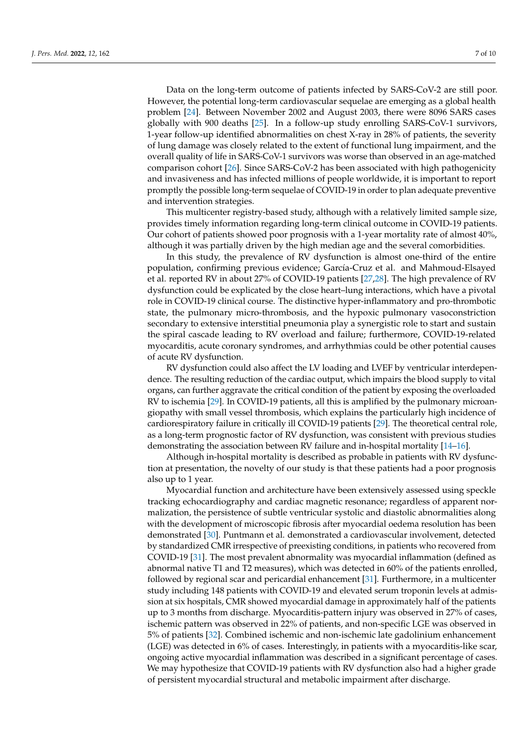Data on the long-term outcome of patients infected by SARS-CoV-2 are still poor. However, the potential long-term cardiovascular sequelae are emerging as a global health problem [\[24\]](#page-9-4). Between November 2002 and August 2003, there were 8096 SARS cases globally with 900 deaths [\[25\]](#page-9-5). In a follow-up study enrolling SARS-CoV-1 survivors, 1-year follow-up identified abnormalities on chest X-ray in 28% of patients, the severity of lung damage was closely related to the extent of functional lung impairment, and the overall quality of life in SARS-CoV-1 survivors was worse than observed in an age-matched comparison cohort [\[26\]](#page-9-6). Since SARS-CoV-2 has been associated with high pathogenicity and invasiveness and has infected millions of people worldwide, it is important to report promptly the possible long-term sequelae of COVID-19 in order to plan adequate preventive and intervention strategies.

This multicenter registry-based study, although with a relatively limited sample size, provides timely information regarding long-term clinical outcome in COVID-19 patients. Our cohort of patients showed poor prognosis with a 1-year mortality rate of almost 40%, although it was partially driven by the high median age and the several comorbidities.

In this study, the prevalence of RV dysfunction is almost one-third of the entire population, confirming previous evidence; García-Cruz et al. and Mahmoud-Elsayed et al. reported RV in about 27% of COVID-19 patients [\[27](#page-9-7)[,28\]](#page-9-8). The high prevalence of RV dysfunction could be explicated by the close heart–lung interactions, which have a pivotal role in COVID-19 clinical course. The distinctive hyper-inflammatory and pro-thrombotic state, the pulmonary micro-thrombosis, and the hypoxic pulmonary vasoconstriction secondary to extensive interstitial pneumonia play a synergistic role to start and sustain the spiral cascade leading to RV overload and failure; furthermore, COVID-19-related myocarditis, acute coronary syndromes, and arrhythmias could be other potential causes of acute RV dysfunction.

RV dysfunction could also affect the LV loading and LVEF by ventricular interdependence. The resulting reduction of the cardiac output, which impairs the blood supply to vital organs, can further aggravate the critical condition of the patient by exposing the overloaded RV to ischemia [\[29\]](#page-9-9). In COVID-19 patients, all this is amplified by the pulmonary microangiopathy with small vessel thrombosis, which explains the particularly high incidence of cardiorespiratory failure in critically ill COVID-19 patients [\[29\]](#page-9-9). The theoretical central role, as a long-term prognostic factor of RV dysfunction, was consistent with previous studies demonstrating the association between RV failure and in-hospital mortality [\[14](#page-8-11)[–16\]](#page-8-7).

Although in-hospital mortality is described as probable in patients with RV dysfunction at presentation, the novelty of our study is that these patients had a poor prognosis also up to 1 year.

Myocardial function and architecture have been extensively assessed using speckle tracking echocardiography and cardiac magnetic resonance; regardless of apparent normalization, the persistence of subtle ventricular systolic and diastolic abnormalities along with the development of microscopic fibrosis after myocardial oedema resolution has been demonstrated [\[30\]](#page-9-10). Puntmann et al. demonstrated a cardiovascular involvement, detected by standardized CMR irrespective of preexisting conditions, in patients who recovered from COVID-19 [\[31\]](#page-9-11). The most prevalent abnormality was myocardial inflammation (defined as abnormal native T1 and T2 measures), which was detected in 60% of the patients enrolled, followed by regional scar and pericardial enhancement [\[31\]](#page-9-11). Furthermore, in a multicenter study including 148 patients with COVID-19 and elevated serum troponin levels at admission at six hospitals, CMR showed myocardial damage in approximately half of the patients up to 3 months from discharge. Myocarditis-pattern injury was observed in 27% of cases, ischemic pattern was observed in 22% of patients, and non-specific LGE was observed in 5% of patients [\[32\]](#page-9-12). Combined ischemic and non-ischemic late gadolinium enhancement (LGE) was detected in 6% of cases. Interestingly, in patients with a myocarditis-like scar, ongoing active myocardial inflammation was described in a significant percentage of cases. We may hypothesize that COVID-19 patients with RV dysfunction also had a higher grade of persistent myocardial structural and metabolic impairment after discharge.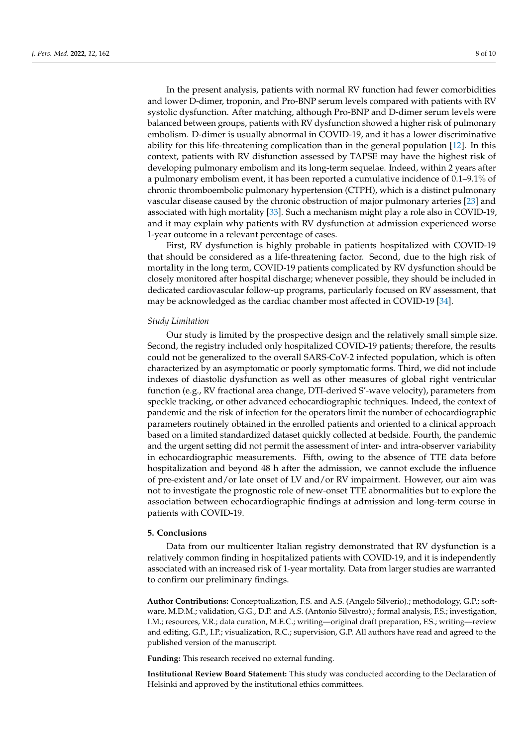In the present analysis, patients with normal RV function had fewer comorbidities and lower D-dimer, troponin, and Pro-BNP serum levels compared with patients with RV systolic dysfunction. After matching, although Pro-BNP and D-dimer serum levels were balanced between groups, patients with RV dysfunction showed a higher risk of pulmonary embolism. D-dimer is usually abnormal in COVID-19, and it has a lower discriminative ability for this life-threatening complication than in the general population [\[12\]](#page-8-6). In this context, patients with RV disfunction assessed by TAPSE may have the highest risk of developing pulmonary embolism and its long-term sequelae. Indeed, within 2 years after a pulmonary embolism event, it has been reported a cumulative incidence of 0.1–9.1% of chronic thromboembolic pulmonary hypertension (CTPH), which is a distinct pulmonary vascular disease caused by the chronic obstruction of major pulmonary arteries [\[23\]](#page-9-3) and associated with high mortality [\[33\]](#page-9-13). Such a mechanism might play a role also in COVID-19, and it may explain why patients with RV dysfunction at admission experienced worse 1-year outcome in a relevant percentage of cases.

First, RV dysfunction is highly probable in patients hospitalized with COVID-19 that should be considered as a life-threatening factor. Second, due to the high risk of mortality in the long term, COVID-19 patients complicated by RV dysfunction should be closely monitored after hospital discharge; whenever possible, they should be included in dedicated cardiovascular follow-up programs, particularly focused on RV assessment, that may be acknowledged as the cardiac chamber most affected in COVID-19 [\[34\]](#page-9-14).

## *Study Limitation*

Our study is limited by the prospective design and the relatively small simple size. Second, the registry included only hospitalized COVID-19 patients; therefore, the results could not be generalized to the overall SARS-CoV-2 infected population, which is often characterized by an asymptomatic or poorly symptomatic forms. Third, we did not include indexes of diastolic dysfunction as well as other measures of global right ventricular function (e.g., RV fractional area change, DTI-derived S'-wave velocity), parameters from speckle tracking, or other advanced echocardiographic techniques. Indeed, the context of pandemic and the risk of infection for the operators limit the number of echocardiographic parameters routinely obtained in the enrolled patients and oriented to a clinical approach based on a limited standardized dataset quickly collected at bedside. Fourth, the pandemic and the urgent setting did not permit the assessment of inter- and intra-observer variability in echocardiographic measurements. Fifth, owing to the absence of TTE data before hospitalization and beyond 48 h after the admission, we cannot exclude the influence of pre-existent and/or late onset of LV and/or RV impairment. However, our aim was not to investigate the prognostic role of new-onset TTE abnormalities but to explore the association between echocardiographic findings at admission and long-term course in patients with COVID-19.

#### **5. Conclusions**

Data from our multicenter Italian registry demonstrated that RV dysfunction is a relatively common finding in hospitalized patients with COVID-19, and it is independently associated with an increased risk of 1-year mortality. Data from larger studies are warranted to confirm our preliminary findings.

**Author Contributions:** Conceptualization, F.S. and A.S. (Angelo Silverio).; methodology, G.P.; software, M.D.M.; validation, G.G., D.P. and A.S. (Antonio Silvestro).; formal analysis, F.S.; investigation, I.M.; resources, V.R.; data curation, M.E.C.; writing—original draft preparation, F.S.; writing—review and editing, G.P., I.P.; visualization, R.C.; supervision, G.P. All authors have read and agreed to the published version of the manuscript.

**Funding:** This research received no external funding.

**Institutional Review Board Statement:** This study was conducted according to the Declaration of Helsinki and approved by the institutional ethics committees.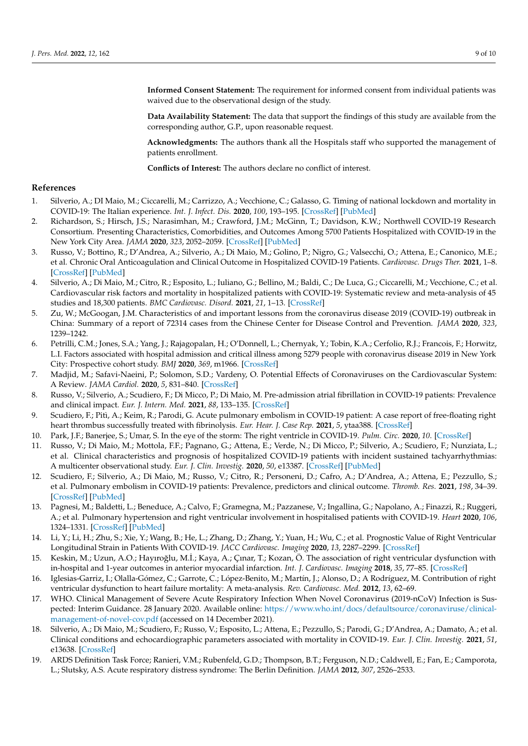**Informed Consent Statement:** The requirement for informed consent from individual patients was waived due to the observational design of the study.

**Data Availability Statement:** The data that support the findings of this study are available from the corresponding author, G.P., upon reasonable request.

**Acknowledgments:** The authors thank all the Hospitals staff who supported the management of patients enrollment.

**Conflicts of Interest:** The authors declare no conflict of interest.

## **References**

- <span id="page-8-0"></span>1. Silverio, A.; DI Maio, M.; Ciccarelli, M.; Carrizzo, A.; Vecchione, C.; Galasso, G. Timing of national lockdown and mortality in COVID-19: The Italian experience. *Int. J. Infect. Dis.* **2020**, *100*, 193–195. [\[CrossRef\]](http://doi.org/10.1016/j.ijid.2020.09.006) [\[PubMed\]](http://www.ncbi.nlm.nih.gov/pubmed/32898670)
- <span id="page-8-1"></span>2. Richardson, S.; Hirsch, J.S.; Narasimhan, M.; Crawford, J.M.; McGinn, T.; Davidson, K.W.; Northwell COVID-19 Research Consortium. Presenting Characteristics, Comorbidities, and Outcomes Among 5700 Patients Hospitalized with COVID-19 in the New York City Area. *JAMA* **2020**, *323*, 2052–2059. [\[CrossRef\]](http://doi.org/10.1001/jama.2020.6775) [\[PubMed\]](http://www.ncbi.nlm.nih.gov/pubmed/32320003)
- <span id="page-8-2"></span>3. Russo, V.; Bottino, R.; D'Andrea, A.; Silverio, A.; Di Maio, M.; Golino, P.; Nigro, G.; Valsecchi, O.; Attena, E.; Canonico, M.E.; et al. Chronic Oral Anticoagulation and Clinical Outcome in Hospitalized COVID-19 Patients. *Cardiovasc. Drugs Ther.* **2021**, 1–8. [\[CrossRef\]](http://doi.org/10.1007/s10557-021-07194-y) [\[PubMed\]](http://www.ncbi.nlm.nih.gov/pubmed/33988835)
- <span id="page-8-3"></span>4. Silverio, A.; Di Maio, M.; Citro, R.; Esposito, L.; Iuliano, G.; Bellino, M.; Baldi, C.; De Luca, G.; Ciccarelli, M.; Vecchione, C.; et al. Cardiovascular risk factors and mortality in hospitalized patients with COVID-19: Systematic review and meta-analysis of 45 studies and 18,300 patients. *BMC Cardiovasc. Disord.* **2021**, *21*, 1–13. [\[CrossRef\]](http://doi.org/10.1186/s12872-020-01816-3)
- <span id="page-8-4"></span>5. Zu, W.; McGoogan, J.M. Characteristics of and important lessons from the coronavirus disease 2019 (COVID-19) outbreak in China: Summary of a report of 72314 cases from the Chinese Center for Disease Control and Prevention. *JAMA* **2020**, *323*, 1239–1242.
- 6. Petrilli, C.M.; Jones, S.A.; Yang, J.; Rajagopalan, H.; O'Donnell, L.; Chernyak, Y.; Tobin, K.A.; Cerfolio, R.J.; Francois, F.; Horwitz, L.I. Factors associated with hospital admission and critical illness among 5279 people with coronavirus disease 2019 in New York City: Prospective cohort study. *BMJ* **2020**, *369*, m1966. [\[CrossRef\]](http://doi.org/10.1136/bmj.m1966)
- 7. Madjid, M.; Safavi-Naeini, P.; Solomon, S.D.; Vardeny, O. Potential Effects of Coronaviruses on the Cardiovascular System: A Review. *JAMA Cardiol.* **2020**, *5*, 831–840. [\[CrossRef\]](http://doi.org/10.1001/jamacardio.2020.1286)
- 8. Russo, V.; Silverio, A.; Scudiero, F.; Di Micco, P.; Di Maio, M. Pre-admission atrial fibrillation in COVID-19 patients: Prevalence and clinical impact. *Eur. J. Intern. Med.* **2021**, *88*, 133–135. [\[CrossRef\]](http://doi.org/10.1016/j.ejim.2021.03.017)
- 9. Scudiero, F.; Pitì, A.; Keim, R.; Parodi, G. Acute pulmonary embolism in COVID-19 patient: A case report of free-floating right heart thrombus successfully treated with fibrinolysis. *Eur. Hear. J. Case Rep.* **2021**, *5*, ytaa388. [\[CrossRef\]](http://doi.org/10.1093/ehjcr/ytaa388)
- 10. Park, J.F.; Banerjee, S.; Umar, S. In the eye of the storm: The right ventricle in COVID-19. *Pulm. Circ.* **2020**, *10*. [\[CrossRef\]](http://doi.org/10.1177/2045894020936660)
- <span id="page-8-5"></span>11. Russo, V.; Di Maio, M.; Mottola, F.F.; Pagnano, G.; Attena, E.; Verde, N.; Di Micco, P.; Silverio, A.; Scudiero, F.; Nunziata, L.; et al. Clinical characteristics and prognosis of hospitalized COVID-19 patients with incident sustained tachyarrhythmias: A multicenter observational study. *Eur. J. Clin. Investig.* **2020**, *50*, e13387. [\[CrossRef\]](http://doi.org/10.1111/eci.13387) [\[PubMed\]](http://www.ncbi.nlm.nih.gov/pubmed/32813877)
- <span id="page-8-6"></span>12. Scudiero, F.; Silverio, A.; Di Maio, M.; Russo, V.; Citro, R.; Personeni, D.; Cafro, A.; D'Andrea, A.; Attena, E.; Pezzullo, S.; et al. Pulmonary embolism in COVID-19 patients: Prevalence, predictors and clinical outcome. *Thromb. Res.* **2021**, *198*, 34–39. [\[CrossRef\]](http://doi.org/10.1016/j.thromres.2020.11.017) [\[PubMed\]](http://www.ncbi.nlm.nih.gov/pubmed/33271421)
- 13. Pagnesi, M.; Baldetti, L.; Beneduce, A.; Calvo, F.; Gramegna, M.; Pazzanese, V.; Ingallina, G.; Napolano, A.; Finazzi, R.; Ruggeri, A.; et al. Pulmonary hypertension and right ventricular involvement in hospitalised patients with COVID-19. *Heart* **2020**, *106*, 1324–1331. [\[CrossRef\]](http://doi.org/10.1136/heartjnl-2020-317355) [\[PubMed\]](http://www.ncbi.nlm.nih.gov/pubmed/32675217)
- <span id="page-8-11"></span>14. Li, Y.; Li, H.; Zhu, S.; Xie, Y.; Wang, B.; He, L.; Zhang, D.; Zhang, Y.; Yuan, H.; Wu, C.; et al. Prognostic Value of Right Ventricular Longitudinal Strain in Patients With COVID-19. *JACC Cardiovasc. Imaging* **2020**, *13*, 2287–2299. [\[CrossRef\]](http://doi.org/10.1016/j.jcmg.2020.04.014)
- 15. Keskin, M.; Uzun, A.O.; Hayıroğlu, M.İ.; Kaya, A.; Çınar, T.; Kozan, Ö. The association of right ventricular dysfunction with in-hospital and 1-year outcomes in anterior myocardial infarction. *Int. J. Cardiovasc. Imaging* **2018**, *35*, 77–85. [\[CrossRef\]](http://doi.org/10.1007/s10554-018-1438-6)
- <span id="page-8-7"></span>16. Iglesias-Garriz, I.; Olalla-Gómez, C.; Garrote, C.; López-Benito, M.; Martín, J.; Alonso, D.; A Rodríguez, M. Contribution of right ventricular dysfunction to heart failure mortality: A meta-analysis. *Rev. Cardiovasc. Med.* **2012**, *13*, 62–69.
- <span id="page-8-8"></span>17. WHO. Clinical Management of Severe Acute Respiratory Infection When Novel Coronavirus (2019-nCoV) Infection is Suspected: Interim Guidance. 28 January 2020. Available online: [https://www.who.int/docs/defaultsource/coronaviruse/clinical](https://www.who.int/docs/defaultsource/coronaviruse/clinical-management-of-novel-cov.pdf)[management-of-novel-cov.pdf](https://www.who.int/docs/defaultsource/coronaviruse/clinical-management-of-novel-cov.pdf) (accessed on 14 December 2021).
- <span id="page-8-9"></span>18. Silverio, A.; Di Maio, M.; Scudiero, F.; Russo, V.; Esposito, L.; Attena, E.; Pezzullo, S.; Parodi, G.; D'Andrea, A.; Damato, A.; et al. Clinical conditions and echocardiographic parameters associated with mortality in COVID-19. *Eur. J. Clin. Investig.* **2021**, *51*, e13638. [\[CrossRef\]](http://doi.org/10.1111/eci.13638)
- <span id="page-8-10"></span>19. ARDS Definition Task Force; Ranieri, V.M.; Rubenfeld, G.D.; Thompson, B.T.; Ferguson, N.D.; Caldwell, E.; Fan, E.; Camporota, L.; Slutsky, A.S. Acute respiratory distress syndrome: The Berlin Definition. *JAMA* **2012**, *307*, 2526–2533.